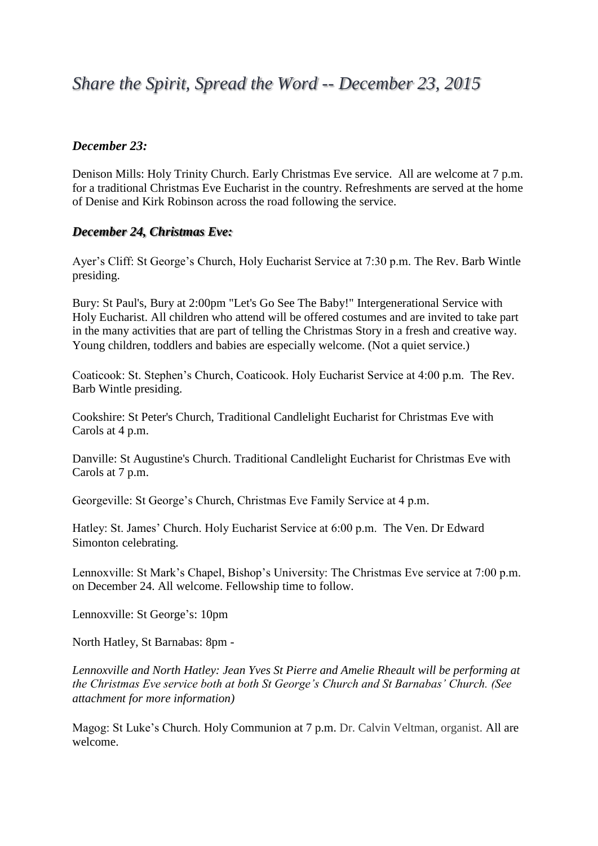# *Share the Spirit, Spread the Word -- December 23, 2015*

## *December 23:*

Denison Mills: Holy Trinity Church. Early Christmas Eve service. All are welcome at 7 p.m. for a traditional Christmas Eve Eucharist in the country. Refreshments are served at the home of Denise and Kirk Robinson across the road following the service.

## *December 24, Christmas Eve:*

Ayer's Cliff: St George's Church, Holy Eucharist Service at 7:30 p.m. The Rev. Barb Wintle presiding.

Bury: St Paul's, Bury at 2:00pm "Let's Go See The Baby!" Intergenerational Service with Holy Eucharist. All children who attend will be offered costumes and are invited to take part in the many activities that are part of telling the Christmas Story in a fresh and creative way. Young children, toddlers and babies are especially welcome. (Not a quiet service.)

Coaticook: St. Stephen's Church, Coaticook. Holy Eucharist Service at 4:00 p.m. The Rev. Barb Wintle presiding.

Cookshire: St Peter's Church, Traditional Candlelight Eucharist for Christmas Eve with Carols at 4 p.m.

Danville: St Augustine's Church. Traditional Candlelight Eucharist for Christmas Eve with Carols at 7 p.m.

Georgeville: St George's Church, Christmas Eve Family Service at 4 p.m.

Hatley: St. James' Church. Holy Eucharist Service at 6:00 p.m. The Ven. Dr Edward Simonton celebrating.

Lennoxville: St Mark's Chapel, Bishop's University: The Christmas Eve service at 7:00 p.m. on December 24. All welcome. Fellowship time to follow.

Lennoxville: St George's: 10pm

North Hatley, St Barnabas: 8pm -

*Lennoxville and North Hatley: Jean Yves St Pierre and Amelie Rheault will be performing at the Christmas Eve service both at both St George's Church and St Barnabas' Church. (See attachment for more information)*

Magog: St Luke's Church. Holy Communion at 7 p.m. Dr. Calvin Veltman, organist. All are welcome.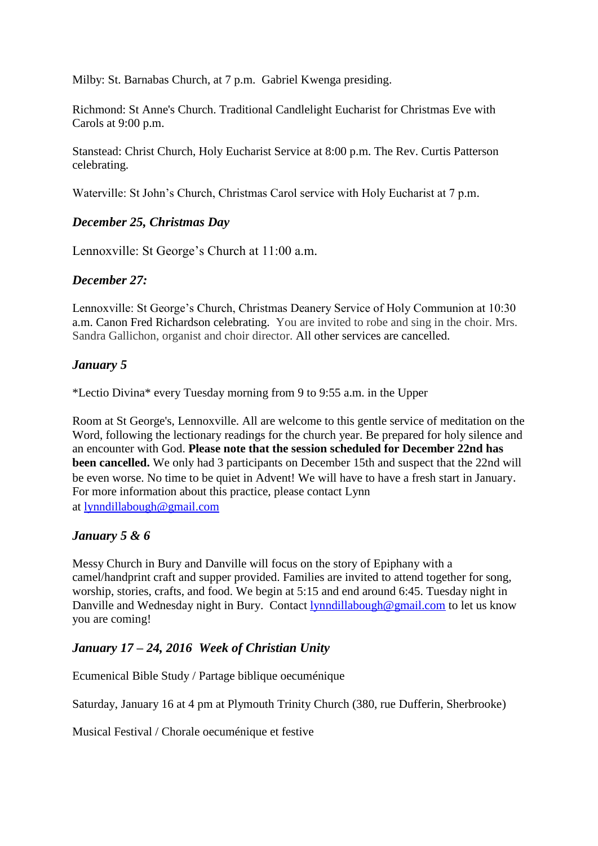Milby: St. Barnabas Church, at 7 p.m. Gabriel Kwenga presiding.

Richmond: St Anne's Church. Traditional Candlelight Eucharist for Christmas Eve with Carols at 9:00 p.m.

Stanstead: Christ Church, Holy Eucharist Service at 8:00 p.m. The Rev. Curtis Patterson celebrating.

Waterville: St John's Church, Christmas Carol service with Holy Eucharist at 7 p.m.

## *December 25, Christmas Day*

Lennoxville: St George's Church at 11:00 a.m.

## *December 27:*

Lennoxville: St George's Church, Christmas Deanery Service of Holy Communion at 10:30 a.m. Canon Fred Richardson celebrating. You are invited to robe and sing in the choir. Mrs. Sandra Gallichon, organist and choir director. All other services are cancelled.

## *January 5*

\*Lectio Divina\* every Tuesday morning from 9 to 9:55 a.m. in the Upper

Room at St George's, Lennoxville. All are welcome to this gentle service of meditation on the Word, following the lectionary readings for the church year. Be prepared for holy silence and an encounter with God. **Please note that the session scheduled for December 22nd has been cancelled.** We only had 3 participants on December 15th and suspect that the 22nd will be even worse. No time to be quiet in Advent! We will have to have a fresh start in January. For more information about this practice, please contact Lynn at [lynndillabough@gmail.com](mailto:lynndillabough@gmail.com)

## *January 5 & 6*

Messy Church in Bury and Danville will focus on the story of Epiphany with a camel/handprint craft and supper provided. Families are invited to attend together for song, worship, stories, crafts, and food. We begin at 5:15 and end around 6:45. Tuesday night in Danville and Wednesday night in Bury. Contact [lynndillabough@gmail.com](mailto:lynndillabough@gmail.com) to let us know you are coming!

## *January 17 – 24, 2016 Week of Christian Unity*

Ecumenical Bible Study / Partage biblique oecuménique

Saturday, January 16 at 4 pm at Plymouth Trinity Church (380, rue Dufferin, Sherbrooke)

Musical Festival / Chorale oecuménique et festive